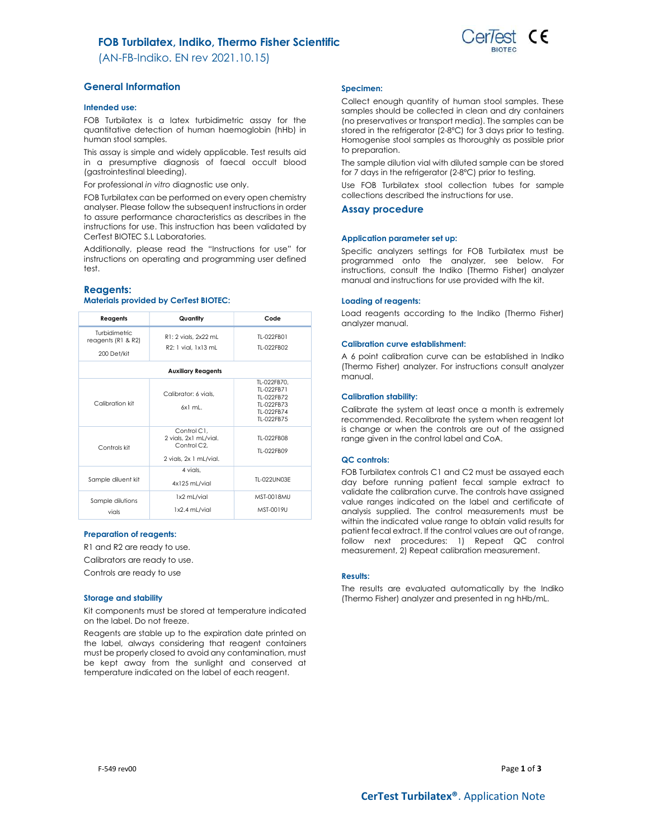# FOB Turbilatex, Indiko, Thermo Fisher Scientific

(AN-FB-Indiko. EN rev 2021.10.15)

# General Information

### Intended use:

FOB Turbilatex is a latex turbidimetric assay for the quantitative detection of human haemoglobin (hHb) in human stool samples.

This assay is simple and widely applicable. Test results aid in a presumptive diagnosis of faecal occult blood (gastrointestinal bleeding).

For professional in vitro diagnostic use only.

FOB Turbilatex can be performed on every open chemistry analyser. Please follow the subsequent instructions in order to assure performance characteristics as describes in the instructions for use. This instruction has been validated by CerTest BIOTEC S.L Laboratories.

Additionally, please read the "Instructions for use" for instructions on operating and programming user defined test.

### Reagents:

## Materials provided by CerTest BIOTEC:

| Reagents                                           | Quantity                                                                      | Code                                                                              |  |  |
|----------------------------------------------------|-------------------------------------------------------------------------------|-----------------------------------------------------------------------------------|--|--|
| Turbidimetric<br>reagents (R1 & R2)<br>200 Det/kit | R1: 2 vials, 2x22 mL<br>R2: 1 vial. 1x13 mL                                   | TI-022FB01<br>TI-022FB02                                                          |  |  |
| <b>Auxiliary Reagents</b>                          |                                                                               |                                                                                   |  |  |
| Calibration kit                                    | Calibrator: 6 vials.<br>$6x1$ ml.                                             | TL-022FB70,<br>TI-022FB71<br>TI-022FB72<br>TL-022FB73<br>TI-022FB74<br>TI-022FB75 |  |  |
| Controls kit                                       | Control C1.<br>2 vials, 2x1 mL/vial.<br>Control C2.<br>2 vials, 2x 1 mL/vial. | TI-022FB08<br>TI-022FB09                                                          |  |  |
| Sample diluent kit                                 | 4 vials.<br>4x125 mL/vial                                                     | TI-022UN03F                                                                       |  |  |
| Sample dilutions<br>vials                          | 1x2 mL/vial<br>1x2.4 mL/vial                                                  | MST-0018MU<br>MST-0019U                                                           |  |  |

### Preparation of reagents:

R1 and R2 are ready to use.

Calibrators are ready to use.

Controls are ready to use

#### Storage and stability

Kit components must be stored at temperature indicated on the label. Do not freeze.

Reagents are stable up to the expiration date printed on the label, always considering that reagent containers must be properly closed to avoid any contamination, must be kept away from the sunlight and conserved at temperature indicated on the label of each reagent.

#### Specimen:

Collect enough quantity of human stool samples. These samples should be collected in clean and dry containers (no preservatives or transport media). The samples can be stored in the refrigerator (2-8ºC) for 3 days prior to testing. Homogenise stool samples as thoroughly as possible prior to preparation.

The sample dilution vial with diluted sample can be stored for 7 days in the refrigerator (2-8ºC) prior to testing.

Use FOB Turbilatex stool collection tubes for sample collections described the instructions for use.

### Assay procedure

#### Application parameter set up:

Specific analyzers settings for FOB Turbilatex must be programmed onto the analyzer, see below. For instructions, consult the Indiko (Thermo Fisher) analyzer manual and instructions for use provided with the kit.

#### Loading of reagents:

Load reagents according to the Indiko (Thermo Fisher) analyzer manual.

#### Calibration curve establishment:

A 6 point calibration curve can be established in Indiko (Thermo Fisher) analyzer. For instructions consult analyzer manual.

### Calibration stability:

Calibrate the system at least once a month is extremely recommended. Recalibrate the system when reagent lot is change or when the controls are out of the assigned range given in the control label and CoA.

### QC controls:

FOB Turbilatex controls C1 and C2 must be assayed each day before running patient fecal sample extract to validate the calibration curve. The controls have assigned value ranges indicated on the label and certificate of analysis supplied. The control measurements must be within the indicated value range to obtain valid results for patient fecal extract. If the control values are out of range, .<br>follow next procedures: 1) Repeat QC control measurement, 2) Repeat calibration measurement.

### Results:

The results are evaluated automatically by the Indiko (Thermo Fisher) analyzer and presented in ng hHb/mL.

F-549 rev00  $Page 1 of 3$ 

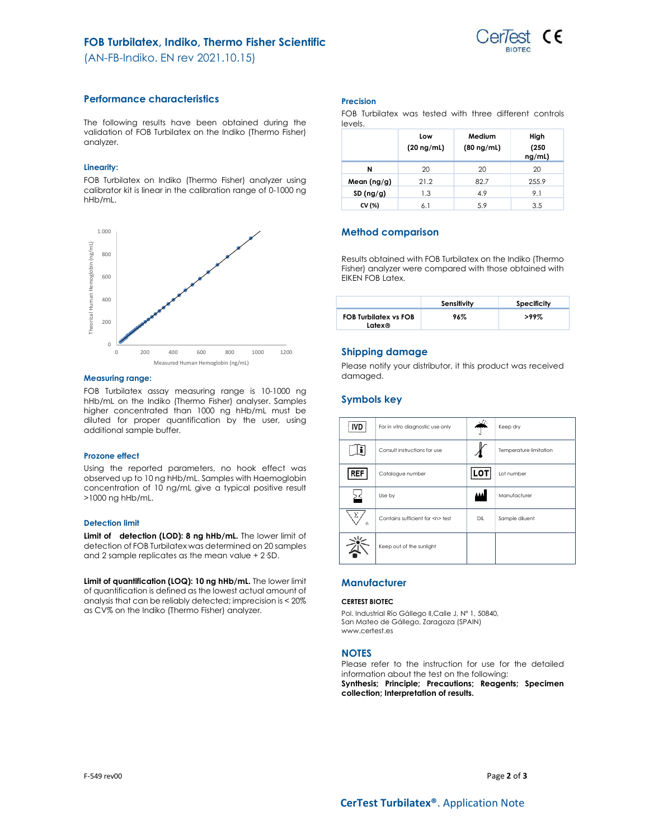

(AN-FB-Indiko. EN rev 2021.10.15)

# Performance characteristics

The following results have been obtained during the validation of FOB Turbilatex on the Indiko (Thermo Fisher) analyzer.

## Linearity:

FOB Turbilatex on Indiko (Thermo Fisher) analyzer using calibrator kit is linear in the calibration range of 0-1000 ng hHb/mL.



### Measuring range:

FOB Turbilatex assay measuring range is 10-1000 ng hHb/mL on the Indiko (Thermo Fisher) analyser. Samples higher concentrated than 1000 ng hHb/mL must be diluted for proper quantification by the user, using additional sample buffer.

## Prozone effect

Using the reported parameters, no hook effect was observed up to 10 ng hHb/mL. Samples with Haemoglobin concentration of 10 ng/mL give a typical positive result >1000 ng hHb/mL.

## Detection limit

Limit of detection (LOD): 8 ng hHb/mL. The lower limit of detection of FOB Turbilatex was determined on 20 samples and 2 sample replicates as the mean value + 2·SD.

Limit of quantification (LOQ): 10 ng hHb/mL. The lower limit of quantification is defined as the lowest actual amount of analysis that can be reliably detected; imprecision is < 20% as CV% on the Indiko (Thermo Fisher) analyzer.

## Precision

FOB Turbilatex was tested with three different controls levels.

|             | Low<br>$(20 \nmid mL)$ | Medium<br>$(80 \nmid mL)$ | High<br>(250)<br>ng/ml) |
|-------------|------------------------|---------------------------|-------------------------|
| N           | 20                     | 20                        | 20                      |
| Mean (ng/g) | 21.2                   | 82.7                      | 255.9                   |
| SD(ng/g)    | 1.3                    | 4.9                       | 9.1                     |
| CV (%)      | 6.1                    | 5.9                       | 3.5                     |

# Method comparison

Results obtained with FOB Turbilatex on the Indiko (Thermo Fisher) analyzer were compared with those obtained with EIKEN FOB Latex.

|                                        | Sensitivity | Specificity |
|----------------------------------------|-------------|-------------|
| <b>FOB Turbilatex vs FOB</b><br>Latex® | 96%         | $>99\%$     |

# Shipping damage

Please notify your distributor, it this product was received damaged.

# Symbols key

| <b>IVD</b> | For in vitro diagnostic use only     |     | Keep dry               |
|------------|--------------------------------------|-----|------------------------|
|            | Consult instructions for use         |     | Temperature limitation |
| REF        | Catalogue number                     | LO  | Lot number             |
|            | Use by                               |     | Manufacturer           |
| Σ<br>n     | Contains sufficient for <n> test</n> | DIL | Sample diluent         |
|            | Keep out of the sunlight             |     |                        |

# **Manufacturer**

### CERTEST BIOTEC

Pol. Industrial Río Gállego II,Calle J, Nº 1, 50840, San Mateo de Gállego, Zaragoza (SPAIN) www.certest.es

## **NOTES**

Please refer to the instruction for use for the detailed information about the test on the following: Synthesis; Principle; Precautions; Reagents; Specimen collection; Interpretation of results.